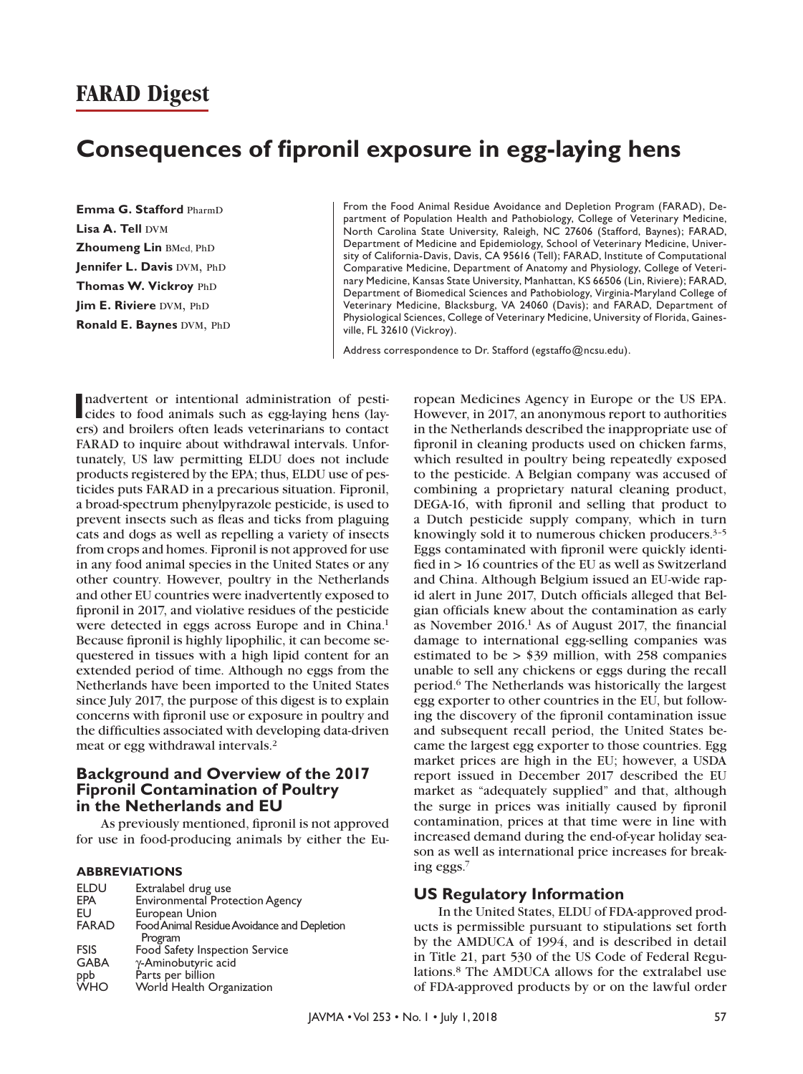# **Consequences of fipronil exposure in egg-laying hens**

**Emma G. Stafford PharmD Lisa A. Tell DVM Zhoumeng Lin BMed, PhD** Jennifer L. Davis DVM, PhD **Thomas W. Vickroy** PhD **Jim E. Riviere DVM, PhD Ronald E. Baynes DVM, PhD**  From the Food Animal Residue Avoidance and Depletion Program (FARAD), Department of Population Health and Pathobiology, College of Veterinary Medicine, North Carolina State University, Raleigh, NC 27606 (Stafford, Baynes); FARAD, Department of Medicine and Epidemiology, School of Veterinary Medicine, University of California-Davis, Davis, CA 95616 (Tell); FARAD, Institute of Computational Comparative Medicine, Department of Anatomy and Physiology, College of Veterinary Medicine, Kansas State University, Manhattan, KS 66506 (Lin, Riviere); FARAD, Department of Biomedical Sciences and Pathobiology, Virginia-Maryland College of Veterinary Medicine, Blacksburg, VA 24060 (Davis); and FARAD, Department of Physiological Sciences, College of Veterinary Medicine, University of Florida, Gainesville, FL 32610 (Vickroy).

Address correspondence to Dr. Stafford [\(egstaffo@ncsu.edu\)](mailto:egstaffo@ncsu.edu).

nadvertent or intentional administration of pesticides to food animals such as egg-laying hens (laynadvertent or intentional administration of pestiers) and broilers often leads veterinarians to contact FARAD to inquire about withdrawal intervals. Unfortunately, US law permitting ELDU does not include products registered by the EPA; thus, ELDU use of pesticides puts FARAD in a precarious situation. Fipronil, a broad-spectrum phenylpyrazole pesticide, is used to prevent insects such as fleas and ticks from plaguing cats and dogs as well as repelling a variety of insects from crops and homes. Fipronil is not approved for use in any food animal species in the United States or any other country. However, poultry in the Netherlands and other EU countries were inadvertently exposed to fipronil in 2017, and violative residues of the pesticide were detected in eggs across Europe and in China.<sup>1</sup> Because fipronil is highly lipophilic, it can become sequestered in tissues with a high lipid content for an extended period of time. Although no eggs from the Netherlands have been imported to the United States since July 2017, the purpose of this digest is to explain concerns with fipronil use or exposure in poultry and the difficulties associated with developing data-driven meat or egg withdrawal intervals.2

## **Background and Overview of the 2017 Fipronil Contamination of Poultry in the Netherlands and EU**

As previously mentioned, fipronil is not approved for use in food-producing animals by either the Eu-

#### **ABBREVIATIONS**

| <b>ELDU</b>  | Extralabel drug use                         |
|--------------|---------------------------------------------|
| <b>EPA</b>   | <b>Environmental Protection Agency</b>      |
| EU           | European Union                              |
| <b>FARAD</b> | Food Animal Residue Avoidance and Depletion |
|              | Program                                     |
| <b>FSIS</b>  | Food Safety Inspection Service              |
| <b>GABA</b>  | γ-Aminobutyric acid                         |
|              | Parts per billion                           |
| ppb<br>WHO   | World Health Organization                   |

ropean Medicines Agency in Europe or the US EPA. However, in 2017, an anonymous report to authorities in the Netherlands described the inappropriate use of fipronil in cleaning products used on chicken farms, which resulted in poultry being repeatedly exposed to the pesticide. A Belgian company was accused of combining a proprietary natural cleaning product, DEGA-16, with fipronil and selling that product to a Dutch pesticide supply company, which in turn knowingly sold it to numerous chicken producers.<sup>3-5</sup> Eggs contaminated with fipronil were quickly identified in > 16 countries of the EU as well as Switzerland and China. Although Belgium issued an EU-wide rapid alert in June 2017, Dutch officials alleged that Belgian officials knew about the contamination as early as November  $2016<sup>1</sup>$  As of August 2017, the financial damage to international egg-selling companies was estimated to be  $>$  \$39 million, with 258 companies unable to sell any chickens or eggs during the recall period.6 The Netherlands was historically the largest egg exporter to other countries in the EU, but following the discovery of the fipronil contamination issue and subsequent recall period, the United States became the largest egg exporter to those countries. Egg market prices are high in the EU; however, a USDA report issued in December 2017 described the EU market as "adequately supplied" and that, although the surge in prices was initially caused by fipronil contamination, prices at that time were in line with increased demand during the end-of-year holiday season as well as international price increases for breaking eggs.7

#### **US Regulatory Information**

In the United States, ELDU of FDA-approved products is permissible pursuant to stipulations set forth by the AMDUCA of 1994, and is described in detail in Title 21, part 530 of the US Code of Federal Regulations.8 The AMDUCA allows for the extralabel use of FDA-approved products by or on the lawful order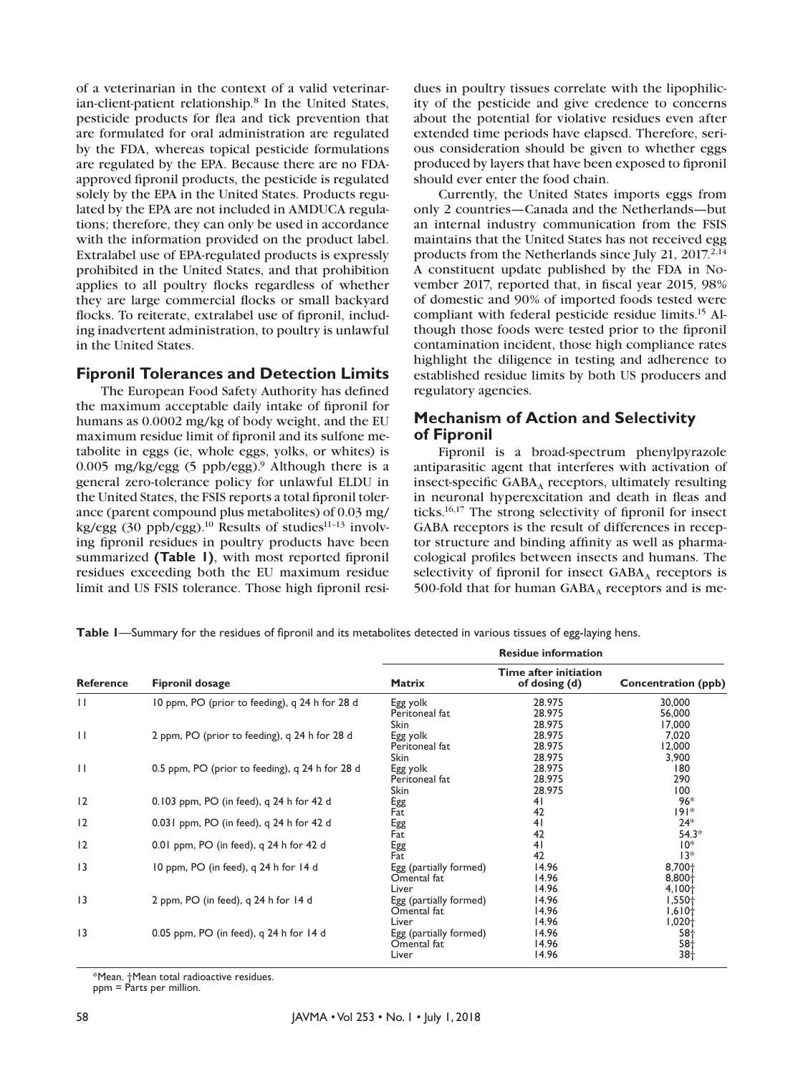of a veterinarian in the context of a valid veterinarian-client-patient relationship.8 In the United States, pesticide products for flea and tick prevention that are formulated for oral administration are regulated by the FDA, whereas topical pesticide formulations are regulated by the EPA. Because there are no FDAapproved fipronil products, the pesticide is regulated solely by the EPA in the United States. Products regulated by the EPA are not included in AMDUCA regulations; therefore, they can only be used in accordance with the information provided on the product label. Extralabel use of EPA-regulated products is expressly prohibited in the United States, and that prohibition applies to all poultry flocks regardless of whether they are large commercial flocks or small backyard flocks. To reiterate, extralabel use of fipronil, including inadvertent administration, to poultry is unlawful in the United States.

#### **Fipronil Tolerances and Detection Limits**

The European Food Safety Authority has defined the maximum acceptable daily intake of fipronil for humans as 0.0002 mg/kg of body weight, and the EU maximum residue limit of fipronil and its sulfone metabolite in eggs (ie, whole eggs, yolks, or whites) is 0.005 mg/kg/egg (5 ppb/egg).<sup>9</sup> Although there is a general zero-tolerance policy for unlawful ELDU in the United States, the FSIS reports a total fipronil tolerance (parent compound plus metabolites) of 0.03 mg/ kg/egg (30 ppb/egg).<sup>10</sup> Results of studies<sup>11-13</sup> involving fipronil residues in poultry products have been summarized **(Table 1)**, with most reported fipronil residues exceeding both the EU maximum residue limit and US FSIS tolerance. Those high fipronil resi-

dues in poultry tissues correlate with the lipophilicity of the pesticide and give credence to concerns about the potential for violative residues even after extended time periods have elapsed. Therefore, serious consideration should be given to whether eggs produced by layers that have been exposed to fipronil should ever enter the food chain.

Currently, the United States imports eggs from only 2 countries—Canada and the Netherlands—but an internal industry communication from the FSIS maintains that the United States has not received egg products from the Netherlands since July 21, 2017.<sup>2,14</sup> A constituent update published by the FDA in November 2017, reported that, in fiscal year 2015, 98% of domestic and 90% of imported foods tested were compliant with federal pesticide residue limits.15 Although those foods were tested prior to the fipronil contamination incident, those high compliance rates highlight the diligence in testing and adherence to established residue limits by both US producers and regulatory agencies.

## **Mechanism of Action and Selectivity of Fipronil**

Fipronil is a broad-spectrum phenylpyrazole antiparasitic agent that interferes with activation of insect-specific  $GABA_A$  receptors, ultimately resulting in neuronal hyperexcitation and death in fleas and ticks.16,17 The strong selectivity of fipronil for insect GABA receptors is the result of differences in receptor structure and binding affinity as well as pharmacological profiles between insects and humans. The selectivity of fipronil for insect  $GABA_A$  receptors is 500-fold that for human  $GABA_A$  receptors and is me-

**Table 1**—Summary for the residues of fipronil and its metabolites detected in various tissues of egg-laying hens.

|                  |                                                 | <b>Residue information</b>                              |                                        |                                  |
|------------------|-------------------------------------------------|---------------------------------------------------------|----------------------------------------|----------------------------------|
| <b>Reference</b> | <b>Fipronil dosage</b>                          | <b>Matrix</b>                                           | Time after initiation<br>of dosing (d) | Concentration (ppb)              |
| $\mathbf{H}$     | 10 ppm, PO (prior to feeding), q 24 h for 28 d  | Egg yolk<br>Peritoneal fat                              | 28.975<br>28.975                       | 30,000<br>56,000                 |
| $\mathbf{H}$     | 2 ppm, PO (prior to feeding), q 24 h for 28 d   | <b>Skin</b><br>Egg yolk<br>Peritoneal fat               | 28.975<br>28.975<br>28.975             | 17,000<br>7,020<br>12,000        |
| $\mathbf{H}$     | 0.5 ppm, PO (prior to feeding), q 24 h for 28 d | <b>Skin</b><br>Egg yolk<br>Peritoneal fat               | 28.975<br>28.975<br>28.975             | 3,900<br>180<br>290              |
| 12               | 0.103 ppm, PO (in feed), q 24 h for 42 d        | <b>Skin</b><br>Egg<br>Fat                               | 28.975<br>41<br>42                     | 100<br>$96*$<br>$ 9 $ *          |
| 12               | 0.031 ppm, PO (in feed), q 24 h for 42 d        | Egg<br>Fat                                              | 41<br>42                               | $24*$<br>$54.3*$                 |
| 12               | 0.01 ppm, PO (in feed), q 24 h for 42 d         | Egg<br>Fat                                              | 41<br>42                               | $10*$<br>$13*$                   |
| 3                | 10 ppm, PO (in feed), q 24 h for 14 d           | Egg (partially formed)<br>Omental fat                   | 14.96<br>14.96                         | 8,700+<br>$8,800+$               |
| 3                | 2 ppm, PO (in feed), q 24 h for 14 d            | Liver<br>Egg (partially formed)<br>Omental fat          | 14.96<br>14.96<br>14.96                | $4,100+$<br>$1,550+$<br>$1,610+$ |
| 3                | 0.05 ppm, PO (in feed), q 24 h for 14 d         | Liver<br>Egg (partially formed)<br>Omental fat<br>Liver | 14.96<br>14.96<br>14.96<br>14.96       | $1,020+$<br>$58+$<br>58†<br>38†  |

\*Mean. †Mean total radioactive residues.

ppm = Parts per million.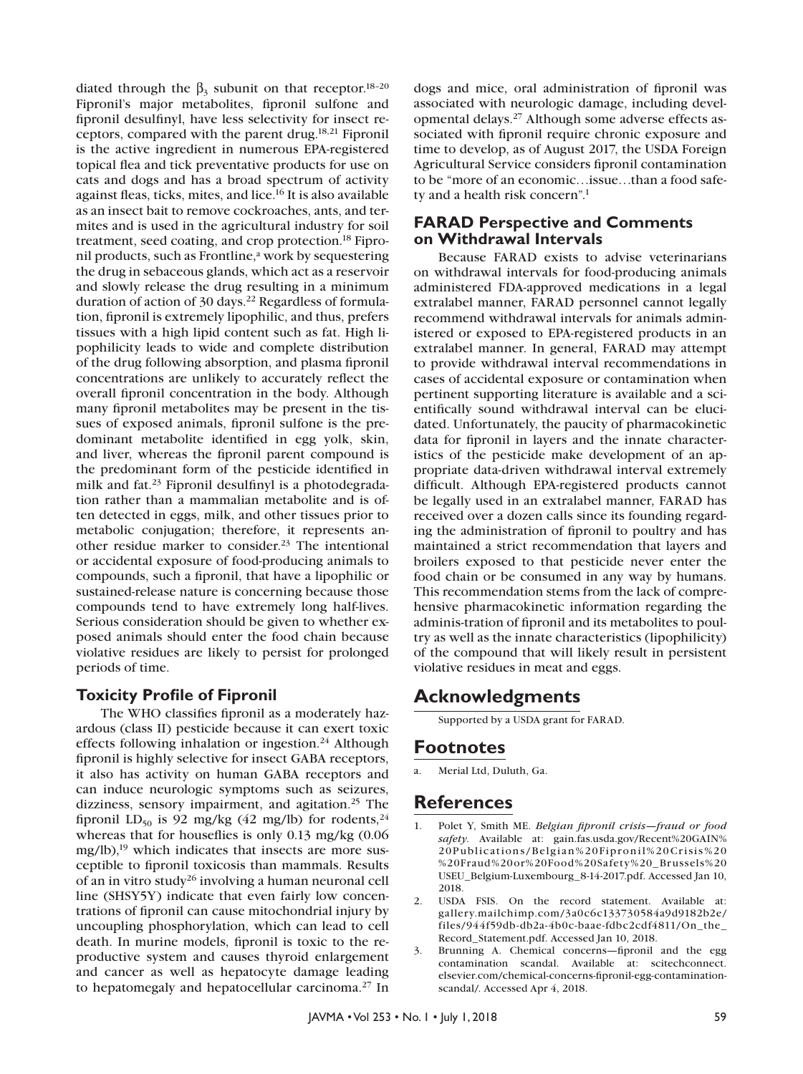diated through the  $β_3$  subunit on that receptor.<sup>18-20</sup> Fipronil's major metabolites, fipronil sulfone and fipronil desulfinyl, have less selectivity for insect receptors, compared with the parent drug.18,21 Fipronil is the active ingredient in numerous EPA-registered topical flea and tick preventative products for use on cats and dogs and has a broad spectrum of activity against fleas, ticks, mites, and lice.16 It is also available as an insect bait to remove cockroaches, ants, and termites and is used in the agricultural industry for soil treatment, seed coating, and crop protection.18 Fipronil products, such as Frontline,<sup>a</sup> work by sequestering the drug in sebaceous glands, which act as a reservoir and slowly release the drug resulting in a minimum duration of action of 30 days.<sup>22</sup> Regardless of formulation, fipronil is extremely lipophilic, and thus, prefers tissues with a high lipid content such as fat. High lipophilicity leads to wide and complete distribution of the drug following absorption, and plasma fipronil concentrations are unlikely to accurately reflect the overall fipronil concentration in the body. Although many fipronil metabolites may be present in the tissues of exposed animals, fipronil sulfone is the predominant metabolite identified in egg yolk, skin, and liver, whereas the fipronil parent compound is the predominant form of the pesticide identified in milk and fat.23 Fipronil desulfinyl is a photodegradation rather than a mammalian metabolite and is often detected in eggs, milk, and other tissues prior to metabolic conjugation; therefore, it represents another residue marker to consider.23 The intentional or accidental exposure of food-producing animals to compounds, such a fipronil, that have a lipophilic or sustained-release nature is concerning because those compounds tend to have extremely long half-lives. Serious consideration should be given to whether exposed animals should enter the food chain because violative residues are likely to persist for prolonged periods of time.

## **Toxicity Profile of Fipronil**

The WHO classifies fipronil as a moderately hazardous (class II) pesticide because it can exert toxic effects following inhalation or ingestion.<sup>24</sup> Although fipronil is highly selective for insect GABA receptors, it also has activity on human GABA receptors and can induce neurologic symptoms such as seizures, dizziness, sensory impairment, and agitation.<sup>25</sup> The fipronil LD<sub>50</sub> is 92 mg/kg (42 mg/lb) for rodents,<sup>24</sup> whereas that for houseflies is only 0.13 mg/kg (0.06  $mg/lb$ ,<sup>19</sup> which indicates that insects are more susceptible to fipronil toxicosis than mammals. Results of an in vitro study26 involving a human neuronal cell line (SHSY5Y) indicate that even fairly low concentrations of fipronil can cause mitochondrial injury by uncoupling phosphorylation, which can lead to cell death. In murine models, fipronil is toxic to the reproductive system and causes thyroid enlargement and cancer as well as hepatocyte damage leading to hepatomegaly and hepatocellular carcinoma.27 In dogs and mice, oral administration of fipronil was associated with neurologic damage, including developmental delays.27 Although some adverse effects associated with fipronil require chronic exposure and time to develop, as of August 2017, the USDA Foreign Agricultural Service considers fipronil contamination to be "more of an economic…issue…than a food safety and a health risk concern".1

## **FARAD Perspective and Comments on Withdrawal Intervals**

Because FARAD exists to advise veterinarians on withdrawal intervals for food-producing animals administered FDA-approved medications in a legal extralabel manner, FARAD personnel cannot legally recommend withdrawal intervals for animals administered or exposed to EPA-registered products in an extralabel manner. In general, FARAD may attempt to provide withdrawal interval recommendations in cases of accidental exposure or contamination when pertinent supporting literature is available and a scientifically sound withdrawal interval can be elucidated. Unfortunately, the paucity of pharmacokinetic data for fipronil in layers and the innate characteristics of the pesticide make development of an appropriate data-driven withdrawal interval extremely difficult. Although EPA-registered products cannot be legally used in an extralabel manner, FARAD has received over a dozen calls since its founding regarding the administration of fipronil to poultry and has maintained a strict recommendation that layers and broilers exposed to that pesticide never enter the food chain or be consumed in any way by humans. This recommendation stems from the lack of comprehensive pharmacokinetic information regarding the adminis-tration of fipronil and its metabolites to poultry as well as the innate characteristics (lipophilicity) of the compound that will likely result in persistent violative residues in meat and eggs.

# **Acknowledgments**

Supported by a USDA grant for FARAD.

# **Footnotes**

a. Merial Ltd, Duluth, Ga.

# **References**

- 1. Polet Y, Smith ME. *Belgian fipronil crisis—fraud or food safety*. Available at: gain.fas.usda.gov/Recent%20GAIN% 20Publications/Belgian%20Fipronil%20Crisis%20 %20Fraud%20or%20Food%20Safety%20\_Brussels%20 USEU\_Belgium-Luxembourg\_8-14-2017.pdf. Accessed Jan 10, 2018.
- 2. USDA FSIS. On the record statement. Available at: gallery.mailchimp.com/3a0c6c133730584a9d9182b2e/ files/944f59db-db2a-4b0c-baae-fdbc2cdf4811/On\_the\_ Record\_Statement.pdf. Accessed Jan 10, 2018.
- 3. Brunning A. Chemical concerns—fipronil and the egg contamination scandal. Available at: scitechconnect. elsevier.com/chemical-concerns-fipronil-egg-contaminationscandal/. Accessed Apr 4, 2018.